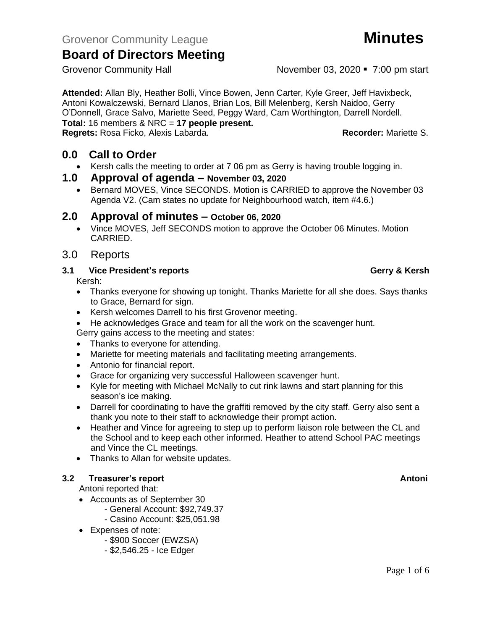**Attended:** Allan Bly, Heather Bolli, Vince Bowen, Jenn Carter, Kyle Greer, Jeff Havixbeck, Antoni Kowalczewski, Bernard Llanos, Brian Los, Bill Melenberg, Kersh Naidoo, Gerry O'Donnell, Grace Salvo, Mariette Seed, Peggy Ward, Cam Worthington, Darrell Nordell. **Total:** 16 members & NRC = **17 people present.**

**Regrets:** Rosa Ficko, Alexis Labarda. **Recorder:** Mariette S.

# **0.0 Call to Order**

- Kersh calls the meeting to order at 7 06 pm as Gerry is having trouble logging in.
- **1.0 Approval of agenda – November 03, 2020**
	- Bernard MOVES, Vince SECONDS. Motion is CARRIED to approve the November 03 Agenda V2. (Cam states no update for Neighbourhood watch, item #4.6.)

## **2.0 Approval of minutes – October 06, 2020**

- Vince MOVES, Jeff SECONDS motion to approve the October 06 Minutes. Motion CARRIED.
- 3.0 Reports

### **3.1 Vice President's reports Gerry & Kersh**

Kersh:

- Thanks everyone for showing up tonight. Thanks Mariette for all she does. Says thanks to Grace, Bernard for sign.
- Kersh welcomes Darrell to his first Grovenor meeting.
- He acknowledges Grace and team for all the work on the scavenger hunt.

Gerry gains access to the meeting and states:

- Thanks to everyone for attending.
- Mariette for meeting materials and facilitating meeting arrangements.
- Antonio for financial report.
- Grace for organizing very successful Halloween scavenger hunt.
- Kyle for meeting with Michael McNally to cut rink lawns and start planning for this season's ice making.
- Darrell for coordinating to have the graffiti removed by the city staff. Gerry also sent a thank you note to their staff to acknowledge their prompt action.
- Heather and Vince for agreeing to step up to perform liaison role between the CL and the School and to keep each other informed. Heather to attend School PAC meetings and Vince the CL meetings.
- Thanks to Allan for website updates.

### **3.2 Freasurer's report Antonic Structure Antonic Structure Antonic Antonic Antonic Antonic Antonic Antonic Antoni**

Antoni reported that:

- Accounts as of September 30
	- General Account: \$92,749.37
	- Casino Account: \$25,051.98
- Expenses of note:
	- \$900 Soccer (EWZSA)
	- \$2,546.25 Ice Edger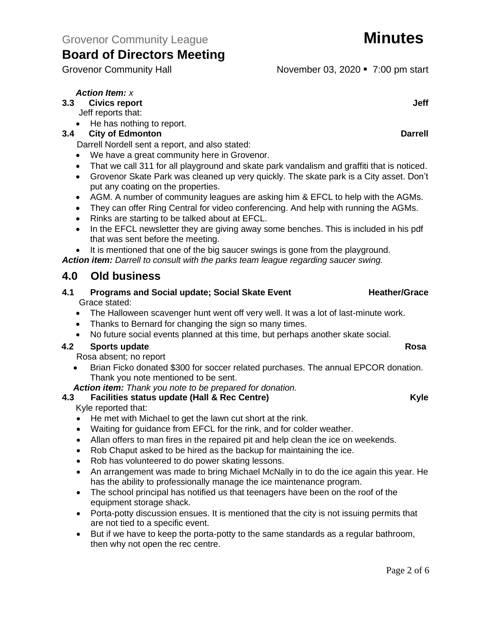Grovenor Community Hall **Grovens** November 03, 2020 • 7:00 pm start

# *Action Item: x*

**3.3 Civics report Jeff**

- Jeff reports that:
- He has nothing to report.

## **3.4 City of Edmonton Darrell**

Darrell Nordell sent a report, and also stated:

- We have a great community here in Grovenor.
- That we call 311 for all playground and skate park vandalism and graffiti that is noticed.
- Grovenor Skate Park was cleaned up very quickly. The skate park is a City asset. Don't put any coating on the properties.
- AGM. A number of community leagues are asking him & EFCL to help with the AGMs.
- They can offer Ring Central for video conferencing. And help with running the AGMs.
- Rinks are starting to be talked about at EFCL.
- In the EFCL newsletter they are giving away some benches. This is included in his pdf that was sent before the meeting.
- It is mentioned that one of the big saucer swings is gone from the playground.

*Action item: Darrell to consult with the parks team league regarding saucer swing.*

# **4.0 Old business**

### **4.1 Programs and Social update; Social Skate Event Frame Heather/Grace** Grace stated:

- The Halloween scavenger hunt went off very well. It was a lot of last-minute work.
- Thanks to Bernard for changing the sign so many times.
- No future social events planned at this time, but perhaps another skate social.

# **4.2 Sports update Rosa**

Rosa absent; no report

• Brian Ficko donated \$300 for soccer related purchases. The annual EPCOR donation. Thank you note mentioned to be sent.

*Action item: Thank you note to be prepared for donation.*

# **4.3 Facilities status update (Hall & Rec Centre) Kyle**

Kyle reported that:

- He met with Michael to get the lawn cut short at the rink.
- Waiting for guidance from EFCL for the rink, and for colder weather.
- Allan offers to man fires in the repaired pit and help clean the ice on weekends.
- Rob Chaput asked to be hired as the backup for maintaining the ice.
- Rob has volunteered to do power skating lessons.
- An arrangement was made to bring Michael McNally in to do the ice again this year. He has the ability to professionally manage the ice maintenance program.
- The school principal has notified us that teenagers have been on the roof of the equipment storage shack.
- Porta-potty discussion ensues. It is mentioned that the city is not issuing permits that are not tied to a specific event.
- But if we have to keep the porta-potty to the same standards as a regular bathroom, then why not open the rec centre.

# Page 2 of 6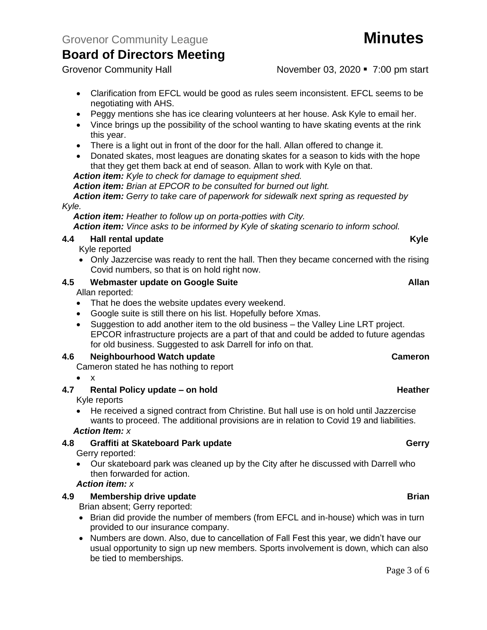Grovenor Community Hall **November 03, 2020** • 7:00 pm start

- Clarification from EFCL would be good as rules seem inconsistent. EFCL seems to be negotiating with AHS.
- Peggy mentions she has ice clearing volunteers at her house. Ask Kyle to email her.
- Vince brings up the possibility of the school wanting to have skating events at the rink this year.
- There is a light out in front of the door for the hall. Allan offered to change it.
- Donated skates, most leagues are donating skates for a season to kids with the hope that they get them back at end of season. Allan to work with Kyle on that.

*Action item: Kyle to check for damage to equipment shed.*

*Action item: Brian at EPCOR to be consulted for burned out light.*

*Action item: Gerry to take care of paperwork for sidewalk next spring as requested by Kyle.*

*Action item: Heather to follow up on porta-potties with City. Action item: Vince asks to be informed by Kyle of skating scenario to inform school.*

### **4.4 Hall rental update Kyle**

Kyle reported

• Only Jazzercise was ready to rent the hall. Then they became concerned with the rising Covid numbers, so that is on hold right now.

## **4.5 Webmaster update on Google Suite Allan**

Allan reported:

- That he does the website updates every weekend.
- Google suite is still there on his list. Hopefully before Xmas.
- Suggestion to add another item to the old business the Valley Line LRT project. EPCOR infrastructure projects are a part of that and could be added to future agendas for old business. Suggested to ask Darrell for info on that.

### **4.6 Neighbourhood Watch update Cameron**

- Cameron stated he has nothing to report
- $\bullet$  x

# **4.7 Rental Policy update – on hold Heather Heather Heather**

Kyle reports

• He received a signed contract from Christine. But hall use is on hold until Jazzercise wants to proceed. The additional provisions are in relation to Covid 19 and liabilities.

*Action Item: x*

# **4.8 Graffiti at Skateboard Park update Gerry**

Gerry reported:

• Our skateboard park was cleaned up by the City after he discussed with Darrell who then forwarded for action.

### *Action item: x*

# **4.9 Membership drive update Brian**

Brian absent; Gerry reported:

- Brian did provide the number of members (from EFCL and in-house) which was in turn provided to our insurance company.
- Numbers are down. Also, due to cancellation of Fall Fest this year, we didn't have our usual opportunity to sign up new members. Sports involvement is down, which can also be tied to memberships.

### Page 3 of 6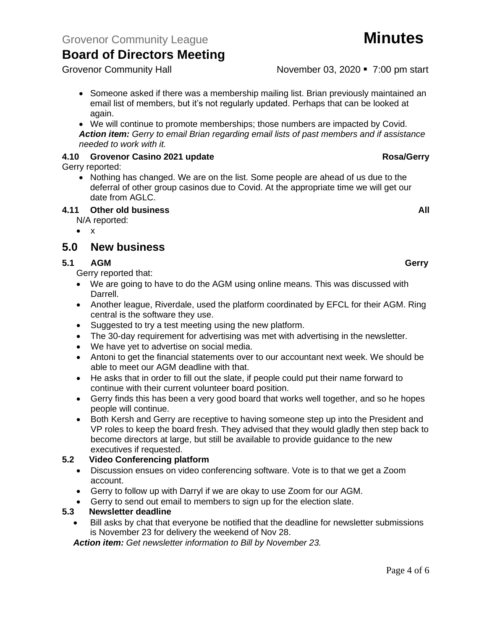Grovenor Community Hall **Grovens** November 03, 2020 • 7:00 pm start

- Someone asked if there was a membership mailing list. Brian previously maintained an email list of members, but it's not regularly updated. Perhaps that can be looked at again.
- We will continue to promote memberships; those numbers are impacted by Covid. *Action item: Gerry to email Brian regarding email lists of past members and if assistance needed to work with it.*

### **4.10 Grovenor Casino 2021 update Rosa/Gerry**

Gerry reported:

• Nothing has changed. We are on the list. Some people are ahead of us due to the deferral of other group casinos due to Covid. At the appropriate time we will get our date from AGLC.

### **4.11 Other old business All**

N/A reported:

• x

# **5.0 New business**

## **5.1 AGM Gerry**

Gerry reported that:

- We are going to have to do the AGM using online means. This was discussed with Darrell.
- Another league, Riverdale, used the platform coordinated by EFCL for their AGM. Ring central is the software they use.
- Suggested to try a test meeting using the new platform.
- The 30-day requirement for advertising was met with advertising in the newsletter.
- We have yet to advertise on social media.
- Antoni to get the financial statements over to our accountant next week. We should be able to meet our AGM deadline with that.
- He asks that in order to fill out the slate, if people could put their name forward to continue with their current volunteer board position.
- Gerry finds this has been a very good board that works well together, and so he hopes people will continue.
- Both Kersh and Gerry are receptive to having someone step up into the President and VP roles to keep the board fresh. They advised that they would gladly then step back to become directors at large, but still be available to provide guidance to the new executives if requested.

### **5.2 Video Conferencing platform**

- Discussion ensues on video conferencing software. Vote is to that we get a Zoom account.
- Gerry to follow up with Darryl if we are okay to use Zoom for our AGM.
- Gerry to send out email to members to sign up for the election slate.

### **5.3 Newsletter deadline**

• Bill asks by chat that everyone be notified that the deadline for newsletter submissions is November 23 for delivery the weekend of Nov 28.

*Action item: Get newsletter information to Bill by November 23.*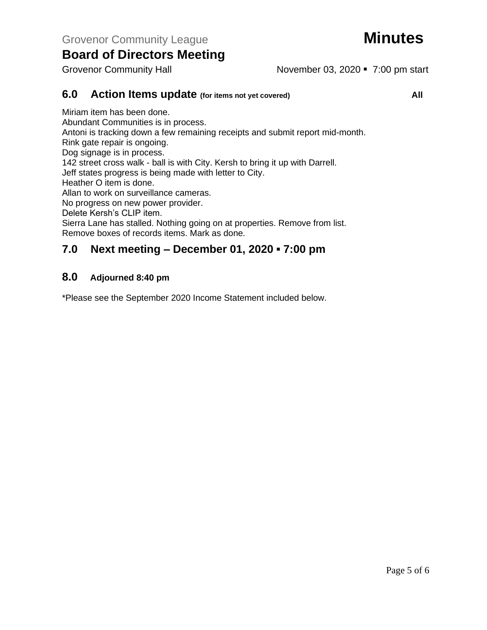Grovenor Community Hall **November 03, 2020** • 7:00 pm start

### **6.0 Action Items update (for items not yet covered) All** Miriam item has been done. Abundant Communities is in process. Antoni is tracking down a few remaining receipts and submit report mid-month. Rink gate repair is ongoing. Dog signage is in process. 142 street cross walk - ball is with City. Kersh to bring it up with Darrell. Jeff states progress is being made with letter to City. Heather O item is done.

Allan to work on surveillance cameras.

No progress on new power provider.

Delete Kersh's CLIP item.

Sierra Lane has stalled. Nothing going on at properties. Remove from list. Remove boxes of records items. Mark as done.

# **7.0 Next meeting – December 01, 2020 ▪ 7:00 pm**

# **8.0 Adjourned 8:40 pm**

\*Please see the September 2020 Income Statement included below.